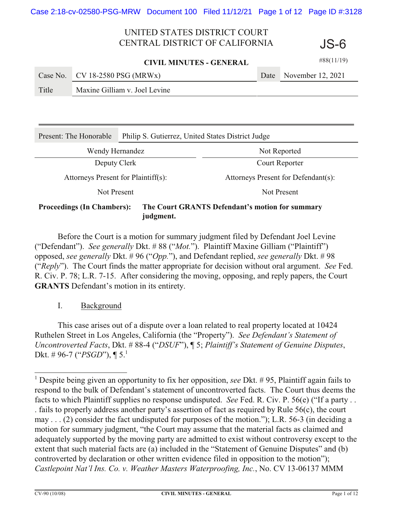**CIVIL MINUTES - GENERAL**

|       | Case No. $CV$ 18-2580 PSG (MRWx) | Date November 12, 2021 |
|-------|----------------------------------|------------------------|
| Title | Maxine Gilliam v. Joel Levine    |                        |

| Present: The Honorable                                                               | Philip S. Gutierrez, United States District Judge |                                     |  |  |
|--------------------------------------------------------------------------------------|---------------------------------------------------|-------------------------------------|--|--|
| Wendy Hernandez                                                                      |                                                   | Not Reported                        |  |  |
| Deputy Clerk                                                                         |                                                   | Court Reporter                      |  |  |
| Attorneys Present for Plaintiff(s):                                                  |                                                   | Attorneys Present for Defendant(s): |  |  |
| Not Present                                                                          |                                                   | Not Present                         |  |  |
| The Court GRANTS Defendant's motion for summary<br><b>Proceedings (In Chambers):</b> |                                                   |                                     |  |  |

**judgment.**

Before the Court is a motion for summary judgment filed by Defendant Joel Levine ("Defendant"). *See generally* Dkt. # 88 ("*Mot.*"). Plaintiff Maxine Gilliam ("Plaintiff") opposed, *see generally* Dkt. # 96 ("*Opp.*"), and Defendant replied, *see generally* Dkt. # 98 ("*Reply*"). The Court finds the matter appropriate for decision without oral argument. *See* Fed. R. Civ. P. 78; L.R. 7-15. After considering the moving, opposing, and reply papers, the Court **GRANTS** Defendant's motion in its entirety.

I. Background

This case arises out of a dispute over a loan related to real property located at 10424 Ruthelen Street in Los Angeles, California (the "Property"). *See Defendant's Statement of Uncontroverted Facts*, Dkt. # 88-4 ("*DSUF*"), ¶ 5; *Plaintiff's Statement of Genuine Disputes*, Dkt. # 96-7 ("*PSGD*"), ¶ 5.1

#88(11/19)

JS-6

<sup>&</sup>lt;sup>1</sup> Despite being given an opportunity to fix her opposition, *see* Dkt. #95, Plaintiff again fails to respond to the bulk of Defendant's statement of uncontroverted facts. The Court thus deems the facts to which Plaintiff supplies no response undisputed. *See* Fed. R. Civ. P. 56(e) ("If a party . . . fails to properly address another party's assertion of fact as required by Rule 56(c), the court may . . . (2) consider the fact undisputed for purposes of the motion."); L.R. 56-3 (in deciding a motion for summary judgment, "the Court may assume that the material facts as claimed and adequately supported by the moving party are admitted to exist without controversy except to the extent that such material facts are (a) included in the "Statement of Genuine Disputes" and (b) controverted by declaration or other written evidence filed in opposition to the motion"); *Castlepoint Nat'l Ins. Co. v. Weather Masters Waterproofing, Inc.*, No. CV 13-06137 MMM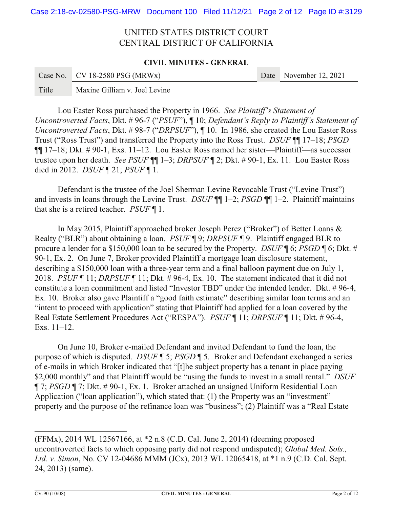#### **CIVIL MINUTES - GENERAL**

|       | Case No. $CV$ 18-2580 PSG (MRWx) | Date November 12, 2021 |
|-------|----------------------------------|------------------------|
| Title | Maxine Gilliam v. Joel Levine    |                        |

Lou Easter Ross purchased the Property in 1966. *See Plaintiff's Statement of Uncontroverted Facts*, Dkt. # 96-7 ("*PSUF*"), ¶ 10; *Defendant's Reply to Plaintiff's Statement of Uncontroverted Facts*, Dkt. # 98-7 ("*DRPSUF*"), ¶ 10. In 1986, she created the Lou Easter Ross Trust ("Ross Trust") and transferred the Property into the Ross Trust. *DSUF* ¶¶ 17–18; *PSGD* ¶¶ 17–18; Dkt. # 90-1, Exs. 11–12. Lou Easter Ross named her sister—Plaintiff—as successor trustee upon her death. *See PSUF* ¶¶ 1–3; *DRPSUF* ¶ 2; Dkt. # 90-1, Ex. 11. Lou Easter Ross died in 2012. *DSUF* ¶ 21; *PSUF* ¶ 1.

Defendant is the trustee of the Joel Sherman Levine Revocable Trust ("Levine Trust") and invests in loans through the Levine Trust. *DSUF* ¶¶ 1–2; *PSGD* ¶¶ 1–2. Plaintiff maintains that she is a retired teacher. *PSUF* ¶ 1.

In May 2015, Plaintiff approached broker Joseph Perez ("Broker") of Better Loans & Realty ("BLR") about obtaining a loan. *PSUF* ¶ 9; *DRPSUF* ¶ 9. Plaintiff engaged BLR to procure a lender for a \$150,000 loan to be secured by the Property. *DSUF* ¶ 6; *PSGD* ¶ 6; Dkt. # 90-1, Ex. 2. On June 7, Broker provided Plaintiff a mortgage loan disclosure statement, describing a \$150,000 loan with a three-year term and a final balloon payment due on July 1, 2018. *PSUF* ¶ 11; *DRPSUF* ¶ 11; Dkt. # 96-4, Ex. 10. The statement indicated that it did not constitute a loan commitment and listed "Investor TBD" under the intended lender. Dkt. # 96-4, Ex. 10. Broker also gave Plaintiff a "good faith estimate" describing similar loan terms and an "intent to proceed with application" stating that Plaintiff had applied for a loan covered by the Real Estate Settlement Procedures Act ("RESPA"). *PSUF* ¶ 11; *DRPSUF* ¶ 11; Dkt. # 96-4, Exs. 11–12.

On June 10, Broker e-mailed Defendant and invited Defendant to fund the loan, the purpose of which is disputed. *DSUF* ¶ 5; *PSGD* ¶ 5. Broker and Defendant exchanged a series of e-mails in which Broker indicated that "[t]he subject property has a tenant in place paying \$2,000 monthly" and that Plaintiff would be "using the funds to invest in a small rental." *DSUF* ¶ 7; *PSGD* ¶ 7; Dkt. # 90-1, Ex. 1. Broker attached an unsigned Uniform Residential Loan Application ("loan application"), which stated that: (1) the Property was an "investment" property and the purpose of the refinance loan was "business"; (2) Plaintiff was a "Real Estate

<sup>(</sup>FFMx), 2014 WL 12567166, at \*2 n.8 (C.D. Cal. June 2, 2014) (deeming proposed uncontroverted facts to which opposing party did not respond undisputed); *Global Med. Sols., Ltd. v. Simon*, No. CV 12-04686 MMM (JCx), 2013 WL 12065418, at \*1 n.9 (C.D. Cal. Sept. 24, 2013) (same).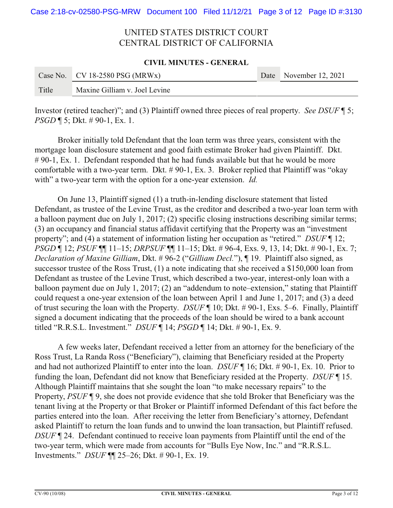#### **CIVIL MINUTES - GENERAL**

|       | Case No. $CV$ 18-2580 PSG (MRWx) | Date November 12, 2021 |
|-------|----------------------------------|------------------------|
| Title | Maxine Gilliam v. Joel Levine    |                        |

Investor (retired teacher)"; and (3) Plaintiff owned three pieces of real property. *See DSUF* ¶ 5; *PSGD* **[** 5; Dkt. # 90-1, Ex. 1.

Broker initially told Defendant that the loan term was three years, consistent with the mortgage loan disclosure statement and good faith estimate Broker had given Plaintiff. Dkt. # 90-1, Ex. 1. Defendant responded that he had funds available but that he would be more comfortable with a two-year term. Dkt. # 90-1, Ex. 3. Broker replied that Plaintiff was "okay with" a two-year term with the option for a one-year extension. *Id.* 

On June 13, Plaintiff signed (1) a truth-in-lending disclosure statement that listed Defendant, as trustee of the Levine Trust, as the creditor and described a two-year loan term with a balloon payment due on July 1, 2017; (2) specific closing instructions describing similar terms; (3) an occupancy and financial status affidavit certifying that the Property was an "investment property"; and (4) a statement of information listing her occupation as "retired." *DSUF* ¶ 12; *PSGD* ¶ 12; *PSUF* ¶¶ 11–15; *DRPSUF* ¶¶ 11–15; Dkt. # 96-4, Exs. 9, 13, 14; Dkt. # 90-1, Ex. 7; *Declaration of Maxine Gilliam*, Dkt. # 96-2 ("*Gilliam Decl.*"), ¶ 19. Plaintiff also signed, as successor trustee of the Ross Trust, (1) a note indicating that she received a \$150,000 loan from Defendant as trustee of the Levine Trust, which described a two-year, interest-only loan with a balloon payment due on July 1, 2017; (2) an "addendum to note–extension," stating that Plaintiff could request a one-year extension of the loan between April 1 and June 1, 2017; and (3) a deed of trust securing the loan with the Property. *DSUF* ¶ 10; Dkt. # 90-1, Exs. 5–6. Finally, Plaintiff signed a document indicating that the proceeds of the loan should be wired to a bank account titled "R.R.S.L. Investment." *DSUF* ¶ 14; *PSGD* ¶ 14; Dkt. # 90-1, Ex. 9.

A few weeks later, Defendant received a letter from an attorney for the beneficiary of the Ross Trust, La Randa Ross ("Beneficiary"), claiming that Beneficiary resided at the Property and had not authorized Plaintiff to enter into the loan. *DSUF* ¶ 16; Dkt. # 90-1, Ex. 10. Prior to funding the loan, Defendant did not know that Beneficiary resided at the Property. *DSUF* ¶ 15. Although Plaintiff maintains that she sought the loan "to make necessary repairs" to the Property, *PSUF* ¶ 9, she does not provide evidence that she told Broker that Beneficiary was the tenant living at the Property or that Broker or Plaintiff informed Defendant of this fact before the parties entered into the loan. After receiving the letter from Beneficiary's attorney, Defendant asked Plaintiff to return the loan funds and to unwind the loan transaction, but Plaintiff refused. *DSUF* ¶ 24. Defendant continued to receive loan payments from Plaintiff until the end of the two-year term, which were made from accounts for "Bulls Eye Now, Inc." and "R.R.S.L. Investments." *DSUF* ¶¶ 25–26; Dkt. # 90-1, Ex. 19.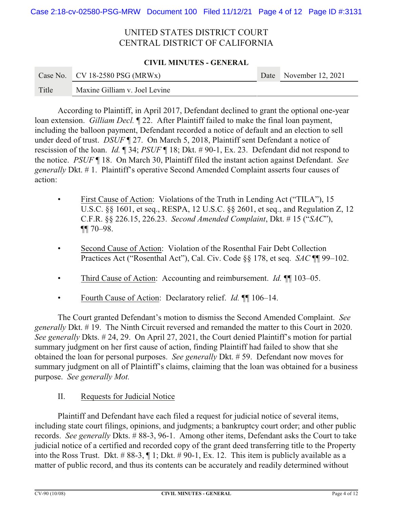#### **CIVIL MINUTES - GENERAL**

|       | Case No. CV 18-2580 PSG (MRWx) | Date November 12, 2021 |
|-------|--------------------------------|------------------------|
| Title | Maxine Gilliam v. Joel Levine  |                        |

According to Plaintiff, in April 2017, Defendant declined to grant the optional one-year loan extension. *Gilliam Decl.* ¶ 22. After Plaintiff failed to make the final loan payment, including the balloon payment, Defendant recorded a notice of default and an election to sell under deed of trust. *DSUF*  $\sqrt{27}$ . On March 5, 2018, Plaintiff sent Defendant a notice of rescission of the loan. *Id.* ¶ 34; *PSUF* ¶ 18; Dkt. # 90-1, Ex. 23. Defendant did not respond to the notice. *PSUF* ¶ 18. On March 30, Plaintiff filed the instant action against Defendant. *See generally* Dkt. # 1. Plaintiff's operative Second Amended Complaint asserts four causes of action:

- First Cause of Action: Violations of the Truth in Lending Act ("TILA"), 15 U.S.C. §§ 1601, et seq., RESPA, 12 U.S.C. §§ 2601, et seq., and Regulation Z, 12 C.F.R. §§ 226.15, 226.23. *Second Amended Complaint*, Dkt. # 15 ("*SAC*"), ¶¶ 70–98.
- Second Cause of Action: Violation of the Rosenthal Fair Debt Collection Practices Act ("Rosenthal Act"), Cal. Civ. Code §§ 178, et seq. *SAC* ¶¶ 99–102.
- Third Cause of Action: Accounting and reimbursement. *Id.* ¶ 103–05.
- Fourth Cause of Action: Declaratory relief. *Id.* ¶¶ 106–14.

The Court granted Defendant's motion to dismiss the Second Amended Complaint. *See generally* Dkt. # 19. The Ninth Circuit reversed and remanded the matter to this Court in 2020. *See generally* Dkts. # 24, 29. On April 27, 2021, the Court denied Plaintiff's motion for partial summary judgment on her first cause of action, finding Plaintiff had failed to show that she obtained the loan for personal purposes. *See generally* Dkt. # 59. Defendant now moves for summary judgment on all of Plaintiff's claims, claiming that the loan was obtained for a business purpose. *See generally Mot.*

### II. Requests for Judicial Notice

Plaintiff and Defendant have each filed a request for judicial notice of several items, including state court filings, opinions, and judgments; a bankruptcy court order; and other public records. *See generally* Dkts. # 88-3, 96-1. Among other items, Defendant asks the Court to take judicial notice of a certified and recorded copy of the grant deed transferring title to the Property into the Ross Trust. Dkt. # 88-3, ¶ 1; Dkt. # 90-1, Ex. 12. This item is publicly available as a matter of public record, and thus its contents can be accurately and readily determined without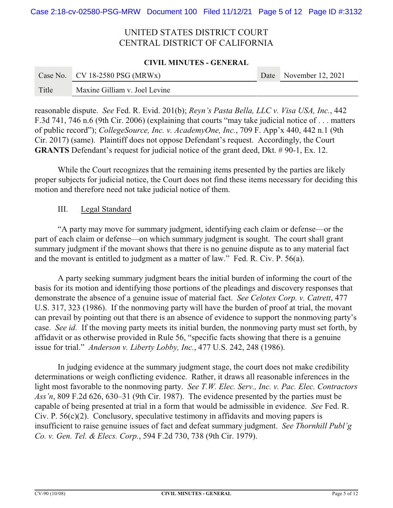#### **CIVIL MINUTES - GENERAL**

|       | Case No. CV 18-2580 PSG (MRWx) | Date November 12, 2021 |
|-------|--------------------------------|------------------------|
| Title | Maxine Gilliam v. Joel Levine  |                        |

reasonable dispute. *See* Fed. R. Evid. 201(b); *Reyn's Pasta Bella, LLC v. Visa USA, Inc.*, 442 F.3d 741, 746 n.6 (9th Cir. 2006) (explaining that courts "may take judicial notice of . . . matters of public record"); *CollegeSource, Inc. v. AcademyOne, Inc.*, 709 F. App'x 440, 442 n.1 (9th Cir. 2017) (same). Plaintiff does not oppose Defendant's request. Accordingly, the Court **GRANTS** Defendant's request for judicial notice of the grant deed, Dkt. # 90-1, Ex. 12.

While the Court recognizes that the remaining items presented by the parties are likely proper subjects for judicial notice, the Court does not find these items necessary for deciding this motion and therefore need not take judicial notice of them.

### III. Legal Standard

"A party may move for summary judgment, identifying each claim or defense—or the part of each claim or defense—on which summary judgment is sought. The court shall grant summary judgment if the movant shows that there is no genuine dispute as to any material fact and the movant is entitled to judgment as a matter of law." Fed. R. Civ. P. 56(a).

A party seeking summary judgment bears the initial burden of informing the court of the basis for its motion and identifying those portions of the pleadings and discovery responses that demonstrate the absence of a genuine issue of material fact. *See Celotex Corp. v. Catrett*, 477 U.S. 317, 323 (1986). If the nonmoving party will have the burden of proof at trial, the movant can prevail by pointing out that there is an absence of evidence to support the nonmoving party's case. *See id.* If the moving party meets its initial burden, the nonmoving party must set forth, by affidavit or as otherwise provided in Rule 56, "specific facts showing that there is a genuine issue for trial." *Anderson v. Liberty Lobby, Inc.*, 477 U.S. 242, 248 (1986).

In judging evidence at the summary judgment stage, the court does not make credibility determinations or weigh conflicting evidence. Rather, it draws all reasonable inferences in the light most favorable to the nonmoving party. *See T.W. Elec. Serv., Inc. v. Pac. Elec. Contractors Ass'n*, 809 F.2d 626, 630–31 (9th Cir. 1987). The evidence presented by the parties must be capable of being presented at trial in a form that would be admissible in evidence. *See* Fed. R. Civ. P.  $56(c)(2)$ . Conclusory, speculative testimony in affidavits and moving papers is insufficient to raise genuine issues of fact and defeat summary judgment. *See Thornhill Publ'g Co. v. Gen. Tel. & Elecs. Corp.*, 594 F.2d 730, 738 (9th Cir. 1979).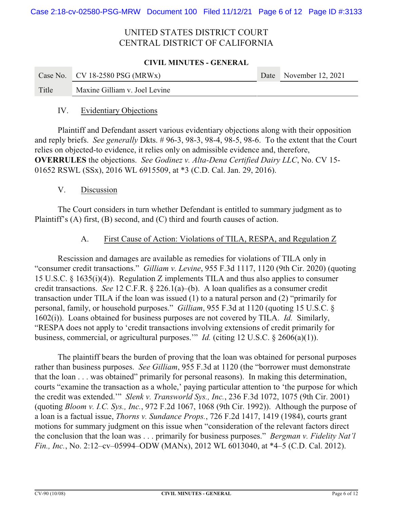#### **CIVIL MINUTES - GENERAL**

|       | Case No. $CV$ 18-2580 PSG (MRWx) | Date November 12, 2021 |
|-------|----------------------------------|------------------------|
| Title | Maxine Gilliam v. Joel Levine    |                        |

### IV. Evidentiary Objections

Plaintiff and Defendant assert various evidentiary objections along with their opposition and reply briefs. *See generally* Dkts. # 96-3, 98-3, 98-4, 98-5, 98-6. To the extent that the Court relies on objected-to evidence, it relies only on admissible evidence and, therefore, **OVERRULES** the objections. *See Godinez v. Alta-Dena Certified Dairy LLC*, No. CV 15- 01652 RSWL (SSx), 2016 WL 6915509, at \*3 (C.D. Cal. Jan. 29, 2016).

### V. Discussion

The Court considers in turn whether Defendant is entitled to summary judgment as to Plaintiff's (A) first, (B) second, and (C) third and fourth causes of action.

### A. First Cause of Action: Violations of TILA, RESPA, and Regulation Z

Rescission and damages are available as remedies for violations of TILA only in "consumer credit transactions." *Gilliam v. Levine*, 955 F.3d 1117, 1120 (9th Cir. 2020) (quoting 15 U.S.C. § 1635(i)(4)). Regulation Z implements TILA and thus also applies to consumer credit transactions. *See* 12 C.F.R. § 226.1(a)–(b). A loan qualifies as a consumer credit transaction under TILA if the loan was issued (1) to a natural person and (2) "primarily for personal, family, or household purposes." *Gilliam*, 955 F.3d at 1120 (quoting 15 U.S.C. § 1602(i)). Loans obtained for business purposes are not covered by TILA. *Id.* Similarly, "RESPA does not apply to 'credit transactions involving extensions of credit primarily for business, commercial, or agricultural purposes.'" *Id.* (citing 12 U.S.C. § 2606(a)(1)).

The plaintiff bears the burden of proving that the loan was obtained for personal purposes rather than business purposes. *See Gilliam*, 955 F.3d at 1120 (the "borrower must demonstrate that the loan . . . was obtained" primarily for personal reasons). In making this determination, courts "examine the transaction as a whole,' paying particular attention to 'the purpose for which the credit was extended.'" *Slenk v. Transworld Sys., Inc.*, 236 F.3d 1072, 1075 (9th Cir. 2001) (quoting *Bloom v. I.C. Sys., Inc.*, 972 F.2d 1067, 1068 (9th Cir. 1992)). Although the purpose of a loan is a factual issue, *Thorns v. Sundance Props.*, 726 F.2d 1417, 1419 (1984), courts grant motions for summary judgment on this issue when "consideration of the relevant factors direct the conclusion that the loan was . . . primarily for business purposes." *Bergman v. Fidelity Nat'l Fin., Inc.*, No. 2:12–cv–05994–ODW (MANx), 2012 WL 6013040, at \*4–5 (C.D. Cal. 2012).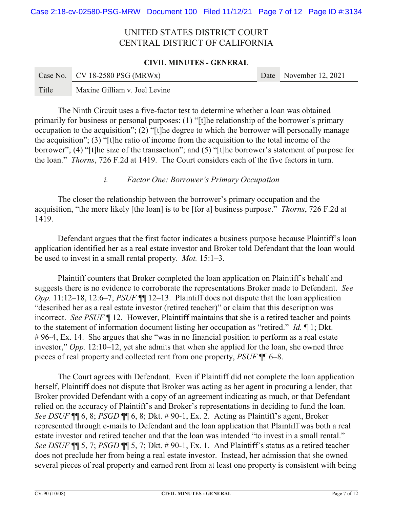#### **CIVIL MINUTES - GENERAL**

|       | Case No. $CV$ 18-2580 PSG (MRWx) | Date November 12, 2021 |
|-------|----------------------------------|------------------------|
| Title | Maxine Gilliam v. Joel Levine    |                        |

The Ninth Circuit uses a five-factor test to determine whether a loan was obtained primarily for business or personal purposes: (1) "[t]he relationship of the borrower's primary occupation to the acquisition"; (2) "[t]he degree to which the borrower will personally manage the acquisition"; (3) "[t]he ratio of income from the acquisition to the total income of the borrower"; (4) "[t]he size of the transaction"; and (5) "[t]he borrower's statement of purpose for the loan." *Thorns*, 726 F.2d at 1419. The Court considers each of the five factors in turn.

### *i. Factor One: Borrower's Primary Occupation*

The closer the relationship between the borrower's primary occupation and the acquisition, "the more likely [the loan] is to be [for a] business purpose." *Thorns*, 726 F.2d at 1419.

Defendant argues that the first factor indicates a business purpose because Plaintiff's loan application identified her as a real estate investor and Broker told Defendant that the loan would be used to invest in a small rental property. *Mot.* 15:1–3.

Plaintiff counters that Broker completed the loan application on Plaintiff's behalf and suggests there is no evidence to corroborate the representations Broker made to Defendant. *See Opp.* 11:12–18, 12:6–7; *PSUF* ¶¶ 12–13. Plaintiff does not dispute that the loan application "described her as a real estate investor (retired teacher)" or claim that this description was incorrect. *See PSUF* ¶ 12. However, Plaintiff maintains that she is a retired teacher and points to the statement of information document listing her occupation as "retired." *Id.* ¶ 1; Dkt. # 96-4, Ex. 14. She argues that she "was in no financial position to perform as a real estate investor," *Opp.* 12:10–12, yet she admits that when she applied for the loan, she owned three pieces of real property and collected rent from one property, *PSUF* ¶¶ 6–8.

The Court agrees with Defendant. Even if Plaintiff did not complete the loan application herself, Plaintiff does not dispute that Broker was acting as her agent in procuring a lender, that Broker provided Defendant with a copy of an agreement indicating as much, or that Defendant relied on the accuracy of Plaintiff's and Broker's representations in deciding to fund the loan. *See DSUF* ¶¶ 6, 8; *PSGD* ¶¶ 6, 8; Dkt. # 90-1, Ex. 2. Acting as Plaintiff's agent, Broker represented through e-mails to Defendant and the loan application that Plaintiff was both a real estate investor and retired teacher and that the loan was intended "to invest in a small rental." *See DSUF* ¶¶ 5, 7; *PSGD* ¶¶ 5, 7; Dkt. # 90-1, Ex. 1. And Plaintiff's status as a retired teacher does not preclude her from being a real estate investor. Instead, her admission that she owned several pieces of real property and earned rent from at least one property is consistent with being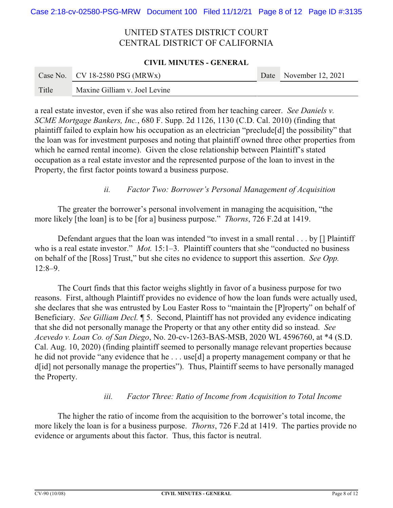#### **CIVIL MINUTES - GENERAL**

|       | Case No. $CV$ 18-2580 PSG (MRWx) | Date November 12, 2021 |
|-------|----------------------------------|------------------------|
| Title | Maxine Gilliam v. Joel Levine    |                        |

a real estate investor, even if she was also retired from her teaching career. *See Daniels v. SCME Mortgage Bankers, Inc.*, 680 F. Supp. 2d 1126, 1130 (C.D. Cal. 2010) (finding that plaintiff failed to explain how his occupation as an electrician "preclude[d] the possibility" that the loan was for investment purposes and noting that plaintiff owned three other properties from which he earned rental income). Given the close relationship between Plaintiff's stated occupation as a real estate investor and the represented purpose of the loan to invest in the Property, the first factor points toward a business purpose.

### *ii. Factor Two: Borrower's Personal Management of Acquisition*

The greater the borrower's personal involvement in managing the acquisition, "the more likely [the loan] is to be [for a] business purpose." *Thorns*, 726 F.2d at 1419.

Defendant argues that the loan was intended "to invest in a small rental . . . by [] Plaintiff who is a real estate investor." *Mot.* 15:1–3. Plaintiff counters that she "conducted no business" on behalf of the [Ross] Trust," but she cites no evidence to support this assertion. *See Opp.* 12:8–9.

The Court finds that this factor weighs slightly in favor of a business purpose for two reasons. First, although Plaintiff provides no evidence of how the loan funds were actually used, she declares that she was entrusted by Lou Easter Ross to "maintain the [P]roperty" on behalf of Beneficiary. *See Gilliam Decl.* ¶ 5. Second, Plaintiff has not provided any evidence indicating that she did not personally manage the Property or that any other entity did so instead. *See Acevedo v. Loan Co. of San Diego*, No. 20-cv-1263-BAS-MSB, 2020 WL 4596760, at \*4 (S.D. Cal. Aug. 10, 2020) (finding plaintiff seemed to personally manage relevant properties because he did not provide "any evidence that he . . . use[d] a property management company or that he d[id] not personally manage the properties"). Thus, Plaintiff seems to have personally managed the Property.

### *iii. Factor Three: Ratio of Income from Acquisition to Total Income*

The higher the ratio of income from the acquisition to the borrower's total income, the more likely the loan is for a business purpose. *Thorns*, 726 F.2d at 1419. The parties provide no evidence or arguments about this factor. Thus, this factor is neutral.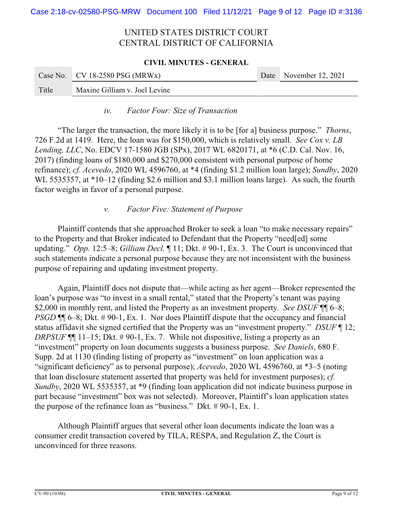# **CIVIL MINUTES - GENERAL** Case No. CV 18-2580 PSG (MRWx) Date November 12, 2021 Title Maxine Gilliam v. Joel Levine

### *iv. Factor Four: Size of Transaction*

"The larger the transaction, the more likely it is to be [for a] business purpose." *Thorns*, 726 F.2d at 1419. Here, the loan was for \$150,000, which is relatively small. *See Cox v. LB Lending, LLC*, No. EDCV 17-1580 JGB (SPx), 2017 WL 6820171, at \*6 (C.D. Cal. Nov. 16, 2017) (finding loans of \$180,000 and \$270,000 consistent with personal purpose of home refinance); *cf. Acevedo*, 2020 WL 4596760, at \*4 (finding \$1.2 million loan large); *Sundby*, 2020 WL 5535357, at \*10–12 (finding \$2.6 million and \$3.1 million loans large). As such, the fourth factor weighs in favor of a personal purpose.

### *v. Factor Five: Statement of Purpose*

Plaintiff contends that she approached Broker to seek a loan "to make necessary repairs" to the Property and that Broker indicated to Defendant that the Property "need[ed] some updating." *Opp.* 12:5–8; *Gilliam Decl.* ¶ 11; Dkt. # 90-1, Ex. 3. The Court is unconvinced that such statements indicate a personal purpose because they are not inconsistent with the business purpose of repairing and updating investment property.

Again, Plaintiff does not dispute that—while acting as her agent—Broker represented the loan's purpose was "to invest in a small rental," stated that the Property's tenant was paying \$2,000 in monthly rent, and listed the Property as an investment property. *See DSUF* ¶¶ 6–8; *PSGD*  $\P$  6–8; Dkt. #90-1, Ex. 1. Nor does Plaintiff dispute that the occupancy and financial status affidavit she signed certified that the Property was an "investment property." *DSUF* ¶ 12; *DRPSUF* **[1** 11–15; Dkt. # 90-1, Ex. 7. While not dispositive, listing a property as an "investment" property on loan documents suggests a business purpose. *See Daniels*, 680 F. Supp. 2d at 1130 (finding listing of property as "investment" on loan application was a "significant deficiency" as to personal purpose); *Acevedo*, 2020 WL 4596760, at \*3–5 (noting that loan disclosure statement asserted that property was held for investment purposes); *cf. Sundby*, 2020 WL 5535357, at \*9 (finding loan application did not indicate business purpose in part because "investment" box was not selected). Moreover, Plaintiff's loan application states the purpose of the refinance loan as "business." Dkt. # 90-1, Ex. 1.

Although Plaintiff argues that several other loan documents indicate the loan was a consumer credit transaction covered by TILA, RESPA, and Regulation Z, the Court is unconvinced for three reasons.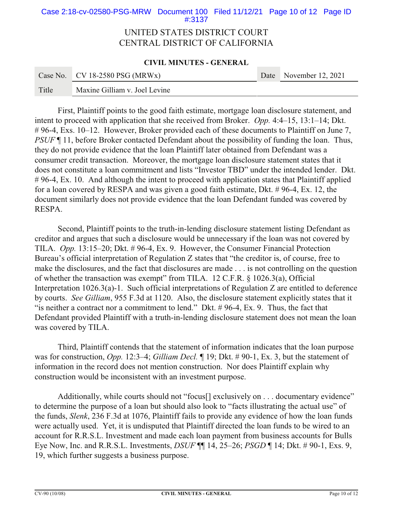#### **CIVIL MINUTES - GENERAL**

|       | Case No. CV 18-2580 PSG (MRWx) | Date November 12, 2021 |
|-------|--------------------------------|------------------------|
| Title | Maxine Gilliam v. Joel Levine  |                        |

First, Plaintiff points to the good faith estimate, mortgage loan disclosure statement, and intent to proceed with application that she received from Broker. *Opp.* 4:4–15, 13:1–14; Dkt. # 96-4, Exs. 10–12. However, Broker provided each of these documents to Plaintiff on June 7, *PSUF*  $\P$  11, before Broker contacted Defendant about the possibility of funding the loan. Thus, they do not provide evidence that the loan Plaintiff later obtained from Defendant was a consumer credit transaction. Moreover, the mortgage loan disclosure statement states that it does not constitute a loan commitment and lists "Investor TBD" under the intended lender. Dkt. # 96-4, Ex. 10. And although the intent to proceed with application states that Plaintiff applied for a loan covered by RESPA and was given a good faith estimate, Dkt. # 96-4, Ex. 12, the document similarly does not provide evidence that the loan Defendant funded was covered by RESPA.

Second, Plaintiff points to the truth-in-lending disclosure statement listing Defendant as creditor and argues that such a disclosure would be unnecessary if the loan was not covered by TILA. *Opp.* 13:15–20; Dkt. # 96-4, Ex. 9. However, the Consumer Financial Protection Bureau's official interpretation of Regulation Z states that "the creditor is, of course, free to make the disclosures, and the fact that disclosures are made . . . is not controlling on the question of whether the transaction was exempt" from TILA. 12 C.F.R. § 1026.3(a), Official Interpretation 1026.3(a)-1. Such official interpretations of Regulation Z are entitled to deference by courts. *See Gilliam*, 955 F.3d at 1120. Also, the disclosure statement explicitly states that it "is neither a contract nor a commitment to lend." Dkt. # 96-4, Ex. 9. Thus, the fact that Defendant provided Plaintiff with a truth-in-lending disclosure statement does not mean the loan was covered by TILA.

Third, Plaintiff contends that the statement of information indicates that the loan purpose was for construction, *Opp.* 12:3–4; *Gilliam Decl.* ¶ 19; Dkt. # 90-1, Ex. 3, but the statement of information in the record does not mention construction. Nor does Plaintiff explain why construction would be inconsistent with an investment purpose.

Additionally, while courts should not "focus<sup>[]</sup> exclusively on . . . documentary evidence" to determine the purpose of a loan but should also look to "facts illustrating the actual use" of the funds, *Slenk*, 236 F.3d at 1076, Plaintiff fails to provide any evidence of how the loan funds were actually used. Yet, it is undisputed that Plaintiff directed the loan funds to be wired to an account for R.R.S.L. Investment and made each loan payment from business accounts for Bulls Eye Now, Inc. and R.R.S.L. Investments, *DSUF* ¶¶ 14, 25–26; *PSGD* ¶ 14; Dkt. # 90-1, Exs. 9, 19, which further suggests a business purpose.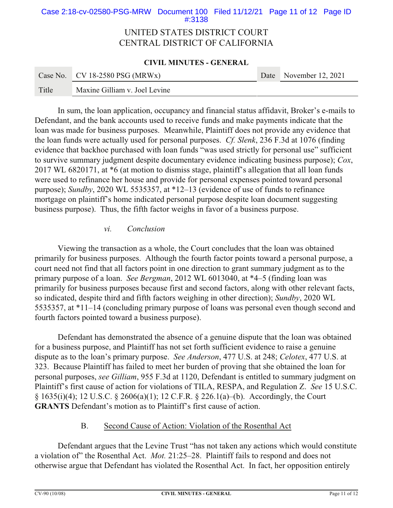#### **CIVIL MINUTES - GENERAL**

|       | Case No. $CV$ 18-2580 PSG (MRWx) | Date November 12, 2021 |
|-------|----------------------------------|------------------------|
| Title | Maxine Gilliam v. Joel Levine    |                        |

In sum, the loan application, occupancy and financial status affidavit, Broker's e-mails to Defendant, and the bank accounts used to receive funds and make payments indicate that the loan was made for business purposes. Meanwhile, Plaintiff does not provide any evidence that the loan funds were actually used for personal purposes. *Cf. Slenk*, 236 F.3d at 1076 (finding evidence that backhoe purchased with loan funds "was used strictly for personal use" sufficient to survive summary judgment despite documentary evidence indicating business purpose); *Cox*, 2017 WL 6820171, at \*6 (at motion to dismiss stage, plaintiff's allegation that all loan funds were used to refinance her house and provide for personal expenses pointed toward personal purpose); *Sundby*, 2020 WL 5535357, at \*12–13 (evidence of use of funds to refinance mortgage on plaintiff's home indicated personal purpose despite loan document suggesting business purpose). Thus, the fifth factor weighs in favor of a business purpose.

### *vi. Conclusion*

Viewing the transaction as a whole, the Court concludes that the loan was obtained primarily for business purposes. Although the fourth factor points toward a personal purpose, a court need not find that all factors point in one direction to grant summary judgment as to the primary purpose of a loan. *See Bergman*, 2012 WL 6013040, at \*4–5 (finding loan was primarily for business purposes because first and second factors, along with other relevant facts, so indicated, despite third and fifth factors weighing in other direction); *Sundby*, 2020 WL 5535357, at \*11–14 (concluding primary purpose of loans was personal even though second and fourth factors pointed toward a business purpose).

Defendant has demonstrated the absence of a genuine dispute that the loan was obtained for a business purpose, and Plaintiff has not set forth sufficient evidence to raise a genuine dispute as to the loan's primary purpose. *See Anderson*, 477 U.S. at 248; *Celotex*, 477 U.S. at 323. Because Plaintiff has failed to meet her burden of proving that she obtained the loan for personal purposes, *see Gilliam*, 955 F.3d at 1120, Defendant is entitled to summary judgment on Plaintiff's first cause of action for violations of TILA, RESPA, and Regulation Z. *See* 15 U.S.C. § 1635(i)(4); 12 U.S.C. § 2606(a)(1); 12 C.F.R. § 226.1(a)–(b). Accordingly, the Court **GRANTS** Defendant's motion as to Plaintiff's first cause of action.

### B. Second Cause of Action: Violation of the Rosenthal Act

Defendant argues that the Levine Trust "has not taken any actions which would constitute a violation of" the Rosenthal Act. *Mot.* 21:25–28. Plaintiff fails to respond and does not otherwise argue that Defendant has violated the Rosenthal Act. In fact, her opposition entirely